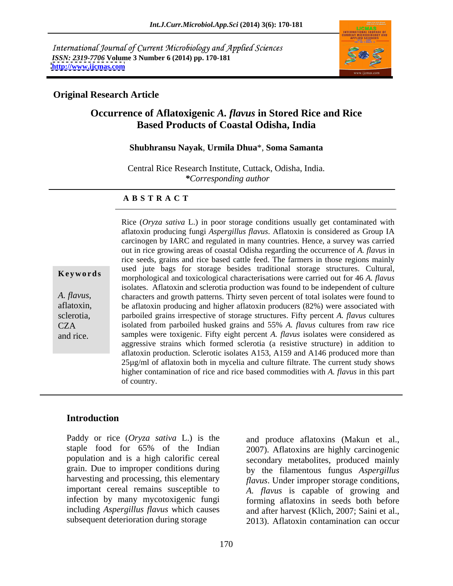International Journal of Current Microbiology and Applied Sciences *ISSN: 2319-7706* **Volume 3 Number 6 (2014) pp. 170-181 <http://www.ijcmas.com>**



### **Original Research Article**

### **Occurrence of Aflatoxigenic** *A. flavus* **in Stored Rice and Rice Based Products of Coastal Odisha, India**

### **Shubhransu Nayak**, **Urmila Dhua**\*, **Soma Samanta**

Central Rice Research Institute, Cuttack, Odisha, India. *\*Corresponding author*

### **A B S T R A C T**

**Keywords** issue that the bags for storage besides traditional storage structures. Cultural, morphological and toxicological characterisations were carried out for 46 *A. flavus A. flavus*, characters and growth patterns. Thirty seven percent of total isolates were found to aflatoxin, be aflatoxin producing and higher aflatoxin producers (82%) were associated with sclerotia, parboiled grains irrespective of storage structures. Fifty percent *A. flavus* cultures CZA isolated from parboiled husked grains and 55% *A. flavus* cultures from raw rice and rice. samples were toxigenic. Fifty eight percent *A. flavus* isolates were considered as Rice (*Oryza sativa* L.) in poor storage conditions usually get contaminated with aflatoxin producing fungi *Aspergillus flavus*. Aflatoxin is considered as Group IA carcinogen by IARC and regulated in many countries. Hence, a survey was carried out in rice growing areas of coastal Odisha regarding the occurrence of *A. flavus* in rice seeds, grains and rice based cattle feed. The farmers in those regions mainly used jute bags for storage besides traditional storage structures. Cultural, isolates. Aflatoxin and sclerotia production was found to be independent of culture characters and growth patterns. Thirty seven percent of total isolates were found to aggressive strains which formed sclerotia (a resistive structure) in addition to aflatoxin production. Sclerotic isolates A153, A159 and A146 produced more than 25µg/ml of aflatoxin both in mycelia and culture filtrate. The current study shows higher contamination of rice and rice based commodities with *A. flavus* in this part of country.

### **Introduction**

Paddy or rice (*Oryza sativa* L.) is the and produce aflatoxins (Makun et al.,

staple food for 65% of the Indian 2007). Aflatoxins are highly carcinogenic population and is a high calorific cereal secondary metabolites, produced mainly grain. Due to improper conditions during by the filamentous fungus *Aspergillus*  harvesting and processing, this elementary *flavus*. Under improper storage conditions, important cereal remains susceptible to *A. flavus* is capable of growing and infection by many mycotoxigenic fungi forming aflatoxins in seeds both before including *Aspergillus flavus* which causes and after harvest (Klich, 2007; Saini et al., subsequent deterioration during storage 2013). Aflatoxin contamination can occur 2007). Aflatoxins are highly carcinogenic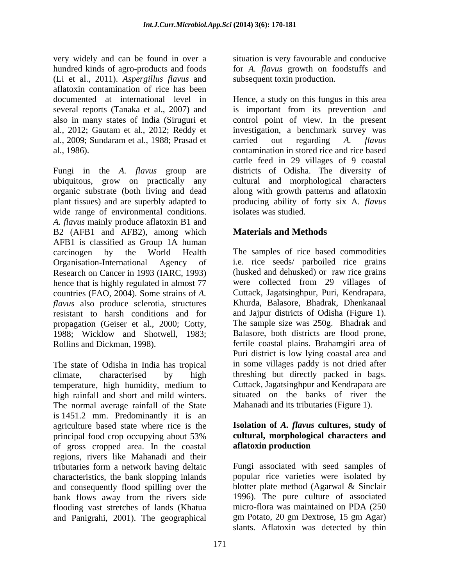very widely and can be found in over a hundred kinds of agro-products and foods for *A. flavus* growth on foodstuffs and (Li et al., 2011). *Aspergillus flavus* and aflatoxin contamination of rice has been several reports (Tanaka et al., 2007) and also in many states of India (Siruguri et

Fungi in the *A. flavus* group are districts of Odisha. The diversity of ubiquitous, grow on practically any cultural and morphological characters organic substrate (both living and dead plant tissues) and are superbly adapted to producing ability of forty six A*. flavus* wide range of environmental conditions. *A. flavus* mainly produce aflatoxin B1 and B2 (AFB1 and AFB2), among which AFB1 is classified as Group 1A human carcinogen by the World Health The samples of rice based commodities Organisation-International Agency of i.e. rice seeds/ parboiled rice grains Research on Cancer in 1993 (IARC, 1993) hence that is highly regulated in almost 77 countries (FAO, 2004). Some strains of *A. flavus* also produce sclerotia, structures resistant to harsh conditions and for and Jajpur districts of Odisha (Figure 1). propagation (Geiser et al., 2000; Cotty, 1988; Wicklow and Shotwell, 1983; Rollins and Dickman, 1998). fertile coastal plains. Brahamgiri area of

The state of Odisha in India has tropical climate, characterised by high threshing but directly packed in bags. temperature, high humidity, medium to high rainfall and short and mild winters. The normal average rainfall of the State is 1451.2 mm. Predominantly it is an agriculture based state where rice is the principal food crop occupying about 53% **cultural, morphological characters and** of gross cropped area. In the coastal regions, rivers like Mahanadi and their tributaries form a network having deltaic Fungi associated with seed samples of characteristics, the bank slopping inlands and consequently flood spilling over the bank flows away from the rivers side 1996). The pure culture of associated flooding vast stretches of lands (Khatua and Panigrahi, 2001). The geographical

situation is very favourable and conducive subsequent toxin production.

documented at international level in Hence, a study on this fungus in this area al., 2012; Gautam et al., 2012; Reddy et investigation, a benchmark survey was al., 2009; Sundaram et al., 1988; Prasad et carried out regarding A. flavus al., 1986). contamination in stored rice and rice based is important from its prevention and control point of view. In the present carried out regarding *A. flavus* cattle feed in 29 villages of 9 coastal along with growth patterns and aflatoxin isolates was studied.

### **Materials and Methods**

(husked and dehusked) or raw rice grains were collected from 29 villages of Cuttack, Jagatsinghpur, Puri, Kendrapara, Khurda, Balasore, Bhadrak, Dhenkanaal The sample size was 250g. Bhadrak and Balasore, both districts are flood prone, Puri district is low lying coastal area and in some villages paddy is not dried after Cuttack, Jagatsinghpur and Kendrapara are situated on the banks of river the Mahanadi and its tributaries (Figure 1).

## **Isolation of** *A. flavus* **cultures, study of aflatoxin production**

popular rice varieties were isolated by blotter plate method (Agarwal & Sinclair 1996). The pure culture of associated micro-flora was maintained on PDA (250 gm Potato, 20 gm Dextrose, 15 gm Agar) slants. Aflatoxin was detected by thin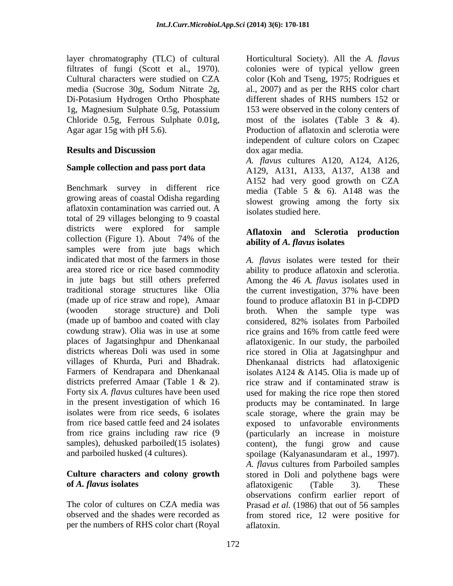layer chromatography (TLC) of cultural Di-Potasium Hydrogen Ortho Phosphate Chloride 0.5g, Ferrous Sulphate 0.01g, most of the isolates (Table 3 & 4).

### **Sample collection and pass port data**

Benchmark survey in different rice growing areas of coastal Odisha regarding aflatoxin contamination was carried out. A total of 29 villages belonging to 9 coastal districts were explored for sample collection (Figure 1). About  $74\%$  of the  $\overrightarrow{ability \text{ of }} A$  flavus isolates samples were from jute bags which in jute bags but still others preferred traditional storage structures like Olia

# **of** *A. flavus* **isolates aflatoxigenic (Table 3). These**

per the numbers of RHS color chart (Royal

filtrates of fungi (Scott et al., 1970). colonies were of typical yellow green Cultural characters were studied on CZA color (Koh and Tseng, 1975; Rodrigues et media (Sucrose 30g, Sodum Nitrate 2g, al., 2007) and as per the RHS color chart 1g, Magnesium Sulphate 0.5g, Potassium 153 were observed in the colony centers of Agar agar 15g with pH 5.6). Production of aflatoxin and sclerotia were **Results and Discussion Example 3** dox agar media. Horticultural Society). All the *A. flavus* different shades of RHS numbers 152 or most of the isolates (Table 3 & 4). independent of culture colors on Czapec dox agar media.

> *A. flavus* cultures A120, A124, A126, A129, A131, A133, A137, A138 and A152 had very good growth on CZA media (Table 5 & 6). A148 was the slowest growing among the forty six isolates studied here.

### **Aflatoxin and Sclerotia production ability of** *A. flavus* **isolates**

indicated that most of the farmers in those *A. flavus* isolates were tested for their area stored rice or rice based commodity ability to produce aflatoxin and sclerotia. (made up of rice straw and rope), Amaar found to produce aflatoxin B1 in  $\beta$ -CDPD (wooden storage structure) and Doli broth. When the sample type was (made up of bamboo and coated with clay considered, 82% isolates from Parboiled cowdung straw). Olia was in use at some rice grains and 16% from cattle feed were places of Jagatsinghpur and Dhenkanaal aflatoxigenic. In our study, the parboiled districts whereas Doli was used in some rice stored in Olia at Jagatsinghpur and villages of Khurda, Puri and Bhadrak. Dhenkanaal districts had aflatoxigenic Farmers of Kendrapara and Dhenkanaal isolates A124 & A145. Olia is made up of districts preferred Amaar (Table 1 & 2). rice straw and if contaminated straw is Forty six *A. flavus* cultures have been used used for making the rice rope then stored in the present investigation of which 16 products may be contaminated. In large isolates were from rice seeds, 6 isolates scale storage, where the grain may be from rice based cattle feed and 24 isolates exposed to unfavorable environments from rice grains including raw rice (9 (particularly an increase in moisture samples), dehusked parboiled(15 isolates) content), the fungi grow and cause and parboiled husked (4 cultures). spoilage (Kalyanasundaram et al., 1997). **Culture characters and colony growth** stored in Doli and polythene bags were The color of cultures on CZA media was Prasad *et al.* (1986) that out of 56 samples observed and the shades were recorded as from stored rice, 12 were positive for Among the 46 *A. flavus* isolates used in the current investigation, 37% have been *A. flavus* cultures from Parboiled samples aflatoxigenic (Table 3). These observations confirm earlier report of aflatoxin.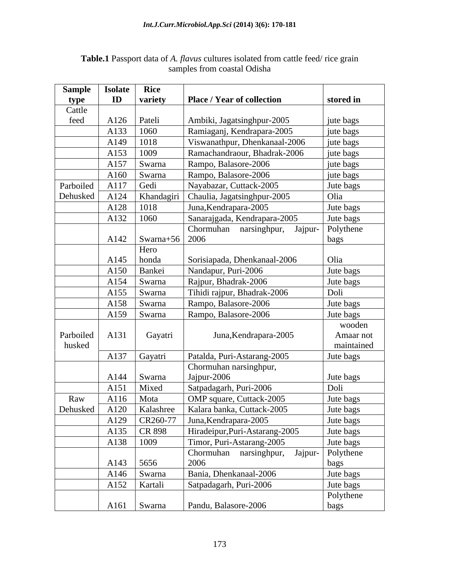| Sample    | <b>Isolate</b> | <b>Rice</b>                    |                                |            |
|-----------|----------------|--------------------------------|--------------------------------|------------|
| type      | ID             | variety                        | Place / Year of collection     | stored in  |
| Cattle    |                |                                |                                |            |
| feed      | A126           | Pateli                         | Ambiki, Jagatsinghpur-2005     | jute bags  |
|           | A133           | 1060                           | Ramiaganj, Kendrapara-2005     | jute bags  |
|           | A149           | 1018                           | Viswanathpur, Dhenkanaal-2006  | jute bags  |
|           | A153           | 1009                           | Ramachandraour, Bhadrak-2006   | jute bags  |
|           | A157           | Swarna                         | Rampo, Balasore-2006           | jute bags  |
|           | A160           | Swarna                         | Rampo, Balasore-2006           | jute bags  |
| Parboiled | A117           | Gedi                           | Nayabazar, Cuttack-2005        | Jute bags  |
| Dehusked  | A124           | Khandagiri                     | Chaulia, Jagatsinghpur-2005    | Olia       |
|           | A128           | 1018                           | Juna, Kendrapara-2005          | Jute bags  |
|           | A132           | 1060                           | Sanarajgada, Kendrapara-2005   | Jute bags  |
|           |                |                                | Chormuhan narsinghpur, Jajpur- | Polythene  |
|           | A142           | $\vert$ Swarna+56 $\vert$ 2006 |                                | bags       |
|           |                | Hero                           |                                |            |
|           | A145           | honda                          | Sorisiapada, Dhenkanaal-2006   | Olia       |
|           | A150           | Bankei                         | Nandapur, Puri-2006            | Jute bags  |
|           | A154           | Swarna                         | Rajpur, Bhadrak-2006           | Jute bags  |
|           | A155           | Swarna                         | Tihidi rajpur, Bhadrak-2006    | Doli       |
|           | A158           | Swarna                         | Rampo, Balasore-2006           | Jute bags  |
|           | A159           | Swarna                         | Rampo, Balasore-2006           | Jute bags  |
|           |                |                                |                                | wooden     |
| Parboiled | A131           | Gayatri                        | Juna, Kendrapara-2005          | Amaar not  |
| husked    |                |                                |                                | maintained |
|           | A137           | Gayatri                        | Patalda, Puri-Astarang-2005    | Jute bags  |
|           |                |                                | Chormuhan narsinghpur,         |            |
|           | A144           | Swarna                         | Jajpur-2006                    | Jute bags  |
|           | A151           | Mixed                          | Satpadagarh, Puri-2006         | Doli       |
| Raw       | A116           | Mota                           | OMP square, Cuttack-2005       | Jute bags  |
| Dehusked  | A120           | Kalashree                      | Kalara banka, Cuttack-2005     | Jute bags  |
|           | A129           | CR260-77                       | Juna, Kendrapara-2005          | Jute bags  |
|           | A135           | CR 898                         | Hiradeipur, Puri-Astarang-2005 | Jute bags  |
|           | A138           | 1009                           | Timor, Puri-Astarang-2005      | Jute bags  |
|           |                |                                | Chormuhan narsinghpur, Jajpur- | Polythene  |
|           | A143           | 5656                           | 2006                           | bags       |
|           | A146           | Swarna                         | Bania, Dhenkanaal-2006         | Jute bags  |
|           | A152           | Kartali                        | Satpadagarh, Puri-2006         | Jute bags  |
|           |                |                                |                                | Polythene  |
|           |                | $A161$ Swarna                  | Pandu, Balasore-2006           | bags       |

### **Table.1** Passport data of *A. flavus* cultures isolated from cattle feed/ rice grain samples from coastal Odisha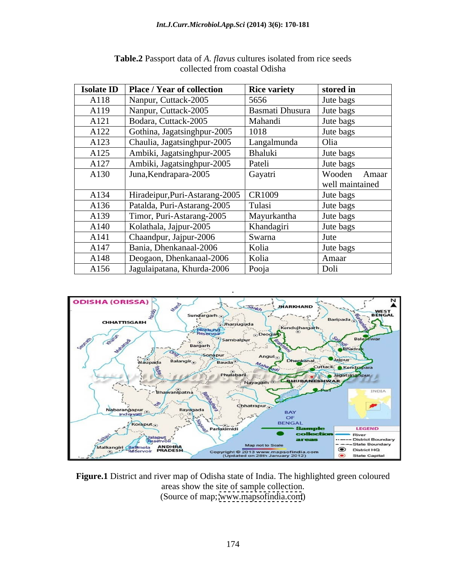|      | <b>Isolate ID</b>   Place / Year of collection | <b>Rice variety</b>    | stored in       |
|------|------------------------------------------------|------------------------|-----------------|
| A118 | Nanpur, Cuttack-2005                           | 5656                   | Jute bags       |
| A119 | Nanpur, Cuttack-2005                           | <b>Basmati Dhusura</b> | Jute bags       |
| A121 | Bodara, Cuttack-2005                           | Mahandi                | Jute bags       |
| A122 | Gothina, Jagatsinghpur-2005                    | 1018                   | Jute bags       |
| A123 | Chaulia, Jagatsinghpur-2005                    | Langalmunda            | Olia            |
| A125 | Ambiki, Jagatsinghpur-2005                     | Bhaluki                | Jute bags       |
| A127 | Ambiki, Jagatsinghpur-2005                     | Pateli                 | Jute bags       |
| A130 | Juna, Kendrapara-2005                          | Gayatri                | Wooden Amaar    |
|      |                                                |                        | well maintained |
| A134 | Hiradeipur, Puri-Astarang-2005                 | CR1009                 | Jute bags       |
| A136 | Patalda, Puri-Astarang-2005                    | Tulasi                 | Jute bags       |
| A139 | Timor, Puri-Astarang-2005                      | Mayurkantha            | Jute bags       |
| A140 | Kolathala, Jajpur-2005                         | Khandagiri             | Jute bags       |
| A141 | Chaandpur, Jajpur-2006                         | Swarna                 | Jute            |
| A147 | Bania, Dhenkanaal-2006                         | Kolia                  | Jute bags       |
| A148 | Deogaon, Dhenkanaal-2006                       | Kolia                  | Amaar           |
| A156 | Jagulaipatana, Khurda-2006                     | Pooja                  | Doli            |

| <b>Table.2</b> Passport data of A. <i>flavus</i> cultures isolated from rice seeds |  |  |
|------------------------------------------------------------------------------------|--|--|
| ollected from coastal Odisha                                                       |  |  |



**Figure.1** District and river map of Odisha state of India. The highlighted green coloured areas show the site of sample collection. (Source of map; [www.mapsofindia.com](http://www.mapsofindia.com))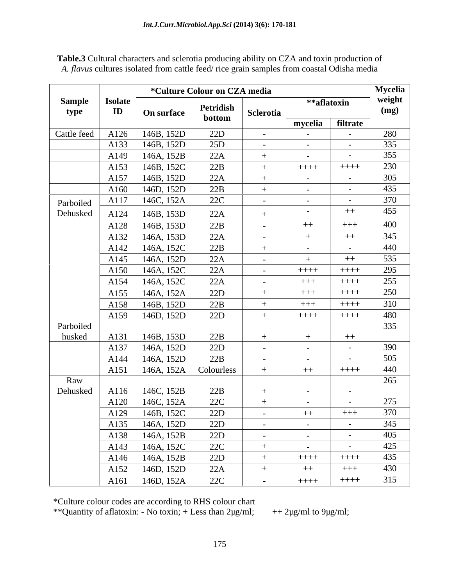|             |                |                          | *Culture Colour on CZA media |                          |                         |                | <b>Mycelia</b> |
|-------------|----------------|--------------------------|------------------------------|--------------------------|-------------------------|----------------|----------------|
| Sample      | <b>Isolate</b> |                          |                              |                          | **aflatoxin             |                | weight         |
| type        | $\mathbf{ID}$  | <b>On surface</b>        | Petridish                    | Sclerotia                |                         |                |                |
|             |                |                          | bottom                       |                          | mycelia                 | filtrate       |                |
| Cattle feed | A126           | 146B, 152D               | 22D                          | $\sim$ $-$               | $\sim$ $ \sim$          | $\sim$         | 280<br>335     |
|             | A133           | 146B, 152D               | 25D                          | $\sim$ $ \sim$           | $\sim 100$              | $\sim$         |                |
|             | A149           | 146A, 152B               | 22A                          | $+$                      | $\sim$ $ \sim$          | $\sim$ $-$     |                |
|             | A153           | 146B, 152C               | 22B                          |                          | $++++$                  | $++++$         | 230            |
|             | A157           | 146B, 152D               | 22A                          | $+$                      | $\sim 100$ m $^{-1}$    | $\sim$         | 305            |
|             | A160           | 146D, 152D               | 22B                          | $+$                      | $\sim 100$ m $^{-1}$    | $\sim$         | 435            |
| Parboiled   | A117           | 146C, 152A               | 22C                          | $\sim 10^{-10}$          | $\sim 100$              | $\sim$         | 370            |
| Dehusked    | A124           | 146B, 153D               | 22A                          | $+$                      | $\sim$ $ \sim$          | $++$           | 455            |
|             | A128           | 146B, 153D               | 22B                          | $\sim$ $-$               | $++$                    | $+++$          | 400            |
|             | A132           | 146A, 153D               | 22A                          | $\sim$ $-$               | $+$                     | $++$           | 345            |
|             | A142           | 146A, 152C               | 22B                          | $+$                      | $\sim$ 100 $\sim$       | $\sim$         | 440            |
|             | A145           | 146A, 152D               | 22A                          | $\sim$ $-$               | $+$                     | $++$           | 535            |
|             | A150           | 146A, 152C               | 22A                          | $\sim$ $-$               | $++++-$                 | $++++$         | 295<br>255     |
|             | A154           | 146A, 152C               | 22A                          | $\sim$ $-$               | $+++$                   | $++++$         |                |
|             | A155           | 146A, 152A               | 22D                          |                          | $+++$                   | $++++$         | 250            |
|             | A158           | 146B, 152D               | 22B                          |                          | $+++$                   | $++++-$        | 310<br>480     |
|             | A159           | 146D, 152D               | 22D                          |                          | $++++$                  | $++++$         |                |
| Parboiled   |                |                          |                              |                          |                         |                | 335            |
| husked      | A131           | 146B, 153D               | 22B                          | $+$                      | $+$                     | $++$           |                |
|             | A137           | 146A, 152D               | 22D                          | $\sim$ $-$               | $\sim$ $-$              | $\sim$         | 390            |
|             | A144           | 146A, 152D               | 22B                          | $\sim$ $-$               | $\sim$ 100 $\sim$       | $\sim$ $-$     | 505            |
| Raw         | A151           | 146A, 152A               | Colourless                   |                          | $++$                    | $++++$         | 440<br>265     |
| Dehusked    | A116           | 146C, 152B               | 22B                          | $+$                      | $\sim$ 100 $\sim$       | $\sim$ $-$     |                |
|             | A120           | 146C, 152A               | 22C                          |                          | $\sim$ $ \sim$          | $\sim$ $-$     | 275            |
|             |                | $\mid$ A129   146B, 152C | 22D                          |                          | $++$                    | $+++$          | 370            |
|             | A135           | 146A, 152D               | 22D                          | $\sim$ $-$               | $\sim$ $ \sim$          | $\sim$         | 345            |
|             | A138           | 146A, 152B               | 22D                          | <b>Contract Contract</b> | $\sim 100$ km s $^{-1}$ | $\sim$ $-$     | 405            |
|             | A143           | 146A, 152C               | 22C                          | $+$                      | $\sim 100$ m $^{-1}$    | $\sim$ $ \sim$ | 425            |
|             | A146           | 146A, 152B               | 22D                          |                          | $++++-$                 | $++++-$        | 435            |
|             | A152           | 146D, 152D               | 22A                          |                          | $++$                    | $+++$          | 430            |
|             | A161           | 146D, 152A               | 22C                          | $\sim$ $-$               | $++++$                  | $+++++$        | 315            |

**Table.3** Cultural characters and sclerotia producing ability on CZA and toxin production of *A. flavus* cultures isolated from cattle feed/ rice grain samples from coastal Odisha media

\*Culture colour codes are according to RHS colour chart

\*\*Quantity of aflatoxin: - No toxin; + Less than  $2\mu g/ml$ ; + +  $2\mu g/ml$  to  $9\mu g/ml$ ;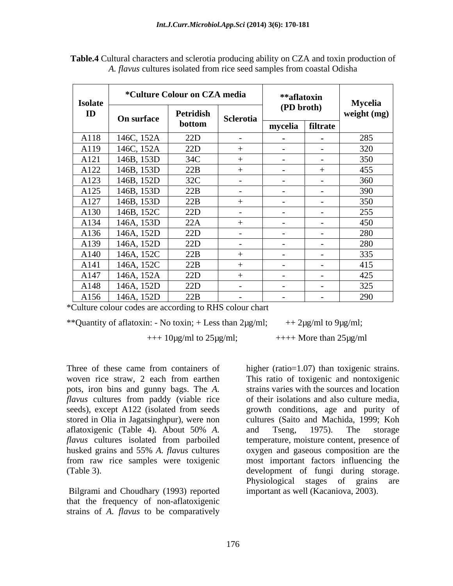| <b>Isolate</b> |            | *Culture Colour on CZA media |                              |                   | **aflatoxin                    | Mycelia     |
|----------------|------------|------------------------------|------------------------------|-------------------|--------------------------------|-------------|
| ID             | On surface | Petridish<br>bottom          | Sclerotia                    |                   | (PD broth)<br>mycelia filtrate | weight (mg) |
| A118           | 146C, 152A | 22D                          |                              | $\sim$ $\sim$     | $\sim$ $\sim$                  | 285         |
| A119           | 146C, 152A | 22D                          |                              | $\sim$            | $\sim$                         | 320         |
| A121           | 146B, 153D | 34C                          |                              | $\sim$ $-$        | $\sim$                         | 350         |
| A122           | 146B, 153D | 22B                          |                              | $\sim$ $-$        |                                | 455         |
| A123           | 146B, 152D | 32C                          | $-$                          | $\sim$ $-$        | $\sim$                         | 360         |
| A125           | 146B, 153D | 22B                          |                              | $\sim$ $-$        | $\sim$                         | 390         |
| A127           | 146B, 153D | 22B                          |                              |                   | $\sim$                         | 350         |
| A130           | 146B, 152C | 22D                          | $\sim$                       | $\sim$ 100 $\sim$ | $\sim$                         | 255         |
| A134           | 146A, 153D | 22A                          |                              | $\sim$ $-$        | $\sim$                         | 450         |
| A136           | 146A, 152D | 22D                          | $\sim$ $-$                   | $\sim$ $-$        | $\sim$                         | 280         |
| A139           | 146A, 152D | 22D                          | $\sim$ 100 $\sim$ 100 $\sim$ | $\sim$ $-$        | $\sim$ $-$                     | 280         |
| A140           | 146A, 152C | 22B                          |                              | $\sim$ $-$        | $\sim$                         | 335         |
| A141           | 146A, 152C | 22B                          |                              | $\sim$ $-$        | $\sim$                         | 415         |
| A147           | 146A, 152A | 22D                          |                              | $\sim$ $-$        | $\sim$                         | 425         |
| A148           | 146A, 152D | 22D                          |                              | $\sim$            | $\sim$                         | 325         |
| A156           | 146A, 152D | 22B                          |                              |                   |                                | 290         |

**Table.4** Cultural characters and sclerotia producing ability on CZA and toxin production of *A. flavus* cultures isolated from rice seed samples from coastal Odisha

\*Culture colour codes are according to RHS colour chart

\*\*Quantity of aflatoxin: - No toxin; + Less than  $2\mu g/ml$ ; + +  $2\mu g/ml$  to  $9\mu g/ml$ ;

 $++10\mu g/ml$  to  $25\mu g/ml$ ;  $++++$  More than  $25\mu g/ml$ 

Three of these came from containers of higher (ratio=1.07) than toxigenic strains. pots, iron bins and gunny bags. The *A. flavus* cultures from paddy (viable rice

Bilgrami and Choudhary (1993) reported that the frequency of non-aflatoxigenic strains of *A. flavus* to be comparatively

woven rice straw, 2 each from earthen This ratio of toxigenic and nontoxigenic seeds), except A122 (isolated from seeds growth conditions, age and purity of stored in Olia in Jagatsinghpur), were non cultures (Saito and Machida, 1999; Koh aflatoxigenic (Table 4). About 50% *A. flavus* cultures isolated from parboiled temperature, moisture content, presence of husked grains and 55% *A. flavus* cultures oxygen and gaseous composition are the from raw rice samples were toxigenic most important factors influencing the (Table 3). development of fungi during storage. strains varies with the sources and location of their isolations and also culture media, and Tseng, 1975). The storage Physiological stages of grains are important as well (Kacaniova, 2003).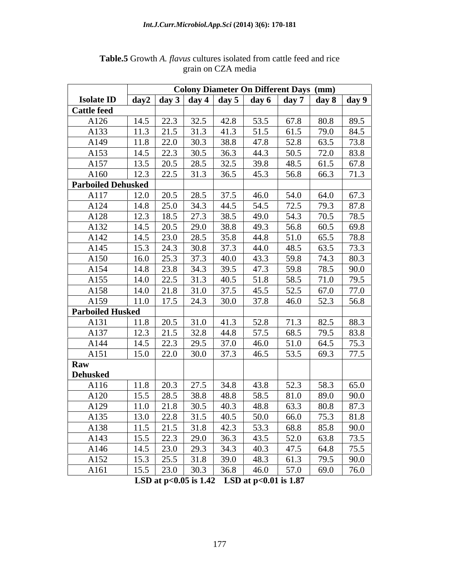|                           |      |                      |                             |                                                              | <b>Colony Diameter On Different Days (mm)</b>                 |                   |      |      |
|---------------------------|------|----------------------|-----------------------------|--------------------------------------------------------------|---------------------------------------------------------------|-------------------|------|------|
| <b>Isolate ID</b>         |      |                      |                             |                                                              | day 2   day 3   day 4   day 5   day 6   day 7   day 8   day 9 |                   |      |      |
| <b>Cattle feed</b>        |      |                      |                             |                                                              |                                                               |                   |      |      |
| A126                      | 14.5 | 22.3                 | 32.5                        | 42.8                                                         | 53.5                                                          | 67.8              | 80.8 | 89.5 |
| A133                      | 11.3 | 21.5                 | 31.3                        | 41.3                                                         | 51.5                                                          | 61.5              | 79.0 | 84.5 |
| A149                      | 11.8 | 22.0                 | 30.3                        | 38.8                                                         | 47.8                                                          | 52.8              | 63.5 | 73.8 |
| A153                      | 14.5 | 22.3                 | 30.5                        | 36.3                                                         | 44.3                                                          | 50.5              | 72.0 | 83.8 |
| A157                      | 13.5 | 20.5                 | 28.5                        | 32.5                                                         | 39.8                                                          | 48.5              | 61.5 | 67.8 |
| A160                      | 12.3 | 22.5                 | 31.3                        | 36.5                                                         | 45.3                                                          | 56.8              | 66.3 | 71.3 |
| <b>Parboiled Dehusked</b> |      |                      |                             |                                                              |                                                               |                   |      |      |
| A117                      | 12.0 | 20.5                 | 28.5                        | 37.5                                                         | 46.0                                                          | 54.0              | 64.0 | 67.3 |
| A124                      | 14.8 | 25.0                 | 34.3                        | 44.5                                                         | 54.5                                                          | 72.5              | 79.3 | 87.8 |
| A128                      | 12.3 | 18.5                 | 27.3                        | 38.5                                                         | 49.0                                                          | 54.3              | 70.5 | 78.5 |
| A132                      | 14.5 | 20.5                 | 29.0                        | 38.8                                                         | 49.3                                                          | 56.8              | 60.5 | 69.8 |
| A142                      | 14.5 | 23.0                 | 28.5                        | 35.8                                                         | 44.8                                                          | 51.0              | 65.5 | 78.8 |
| A145                      | 15.3 | 24.3                 | 30.8                        | 37.3                                                         | 44.0                                                          | 48.5              | 63.5 | 73.3 |
| A150                      | 16.0 | 25.3                 | 37.3                        | 40.0                                                         | 43.3                                                          | 59.8              | 74.3 | 80.3 |
| A154                      |      | $14.8$   23.8   34.3 |                             | 39.5                                                         | 47.3                                                          | 59.8              | 78.5 | 90.0 |
| A155                      | 14.0 | 22.5                 | 31.3                        | 40.5                                                         | 51.8                                                          | 58.5              | 71.0 | 79.5 |
| A158                      | 14.0 | 21.8                 | 31.0                        | 37.5                                                         | 45.5                                                          | 52.5              | 67.0 | 77.0 |
| A159                      | 11.0 | 17.5                 | 24.3                        | 30.0                                                         | 37.8                                                          | 46.0              | 52.3 | 56.8 |
| <b>Parboiled Husked</b>   |      |                      |                             |                                                              |                                                               |                   |      |      |
| A131                      | 11.8 | 20.5                 | 31.0                        | 41.3                                                         | 52.8                                                          | 71.3              | 82.5 | 88.3 |
| A137                      | 12.3 | 21.5                 | 32.8                        | 44.8                                                         | 57.5                                                          | 68.5              | 79.5 | 83.8 |
| A144                      | 14.5 | 22.3                 | 29.5                        | 37.0                                                         | 46.0                                                          | 51.0              | 64.5 | 75.3 |
| A151                      | 15.0 | 22.0                 | 30.0                        | 37.3                                                         | 46.5                                                          | 53.5              | 69.3 | 77.5 |
| Raw                       |      |                      |                             |                                                              |                                                               |                   |      |      |
| <b>Dehusked</b>           |      |                      |                             |                                                              |                                                               |                   |      |      |
| A116                      |      |                      | $11.8$   20.3   27.5        | 34.8                                                         | 43.8                                                          | 52.3              | 58.3 | 65.0 |
| A120                      | 15.5 | 28.5                 | 38.8                        | 48.8                                                         | 58.5                                                          | 81.0              | 89.0 | 90.0 |
| A129                      | 11.0 | 21.8                 | 30.5                        | 40.3                                                         | 48.8                                                          | 63.3              | 80.8 | 87.3 |
| A135                      |      |                      |                             | $13.0$ $\overline{22.8}$ $\overline{31.5}$ $\overline{40.5}$ | 50.0                                                          | 66.0              | 75.3 | 81.8 |
| A138                      | 11.5 |                      | $21.5$ 31.8                 | 42.3                                                         | 53.3                                                          | 68.8              | 85.8 | 90.0 |
| A143                      |      |                      |                             | $15.5$   22.3   29.0   36.3                                  | 43.5                                                          | 52.0              | 63.8 | 73.5 |
| A146                      |      |                      | $14.5$   23.0   29.3   34.3 |                                                              | 40.3                                                          | 47.5              | 64.8 | 75.5 |
| A152                      | 15.3 |                      | $25.5$ 31.8                 | 39.0                                                         | 48.3                                                          | 61.3              | 79.5 | 90.0 |
| A161                      | 15.5 | 23.0                 | 30.3                        | 36.8                                                         | 46.0                                                          | $\overline{57.0}$ | 69.0 | 76.0 |

**Table.5** Growth *A. flavus* cultures isolated from cattle feed and rice grain on CZA media grain on CZA media

**LSD at p<0.05 is 1.42 LSD at p<0.01 is 1.87**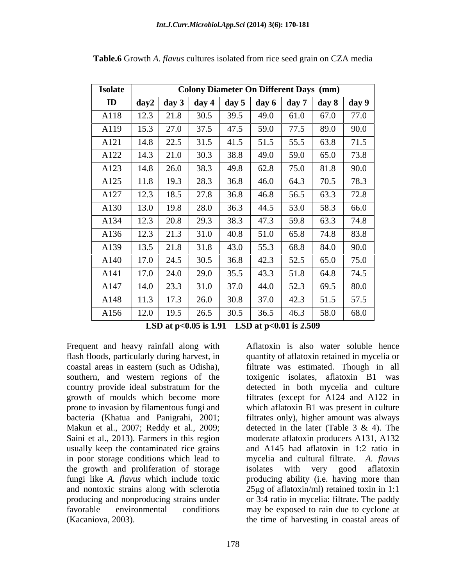| <b>Isolate</b> |             | <b>Colony Diameter On Different Days (mm)</b> |      |      |      |      |                                                       |      |  |
|----------------|-------------|-----------------------------------------------|------|------|------|------|-------------------------------------------------------|------|--|
| $\mathbf{ID}$  | $\bf{day2}$ |                                               |      |      |      |      | day 3   day 4   day 5   day 6   day 7   day 8   day 9 |      |  |
| A118           | 12.3        | 21.8                                          | 30.5 | 39.5 | 49.0 | 61.0 | 67.0                                                  | 77.0 |  |
| A119           | 15.3        | 27.0                                          | 37.5 | 47.5 | 59.0 | 77.5 | 89.0                                                  | 90.0 |  |
| A121           | 14.8        | 22.5                                          | 31.5 | 41.5 | 51.5 | 55.5 | 63.8                                                  | 71.5 |  |
| A122           | 14.3        | 21.0                                          | 30.3 | 38.8 | 49.0 | 59.0 | 65.0                                                  | 73.8 |  |
| A123           | 14.8        | 26.0                                          | 38.3 | 49.8 | 62.8 | 75.0 | 81.8                                                  | 90.0 |  |
| A125           | 11.8        | 19.3                                          | 28.3 | 36.8 | 46.0 | 64.3 | 70.5                                                  | 78.3 |  |
| A127           | 12.3        | 18.5                                          | 27.8 | 36.8 | 46.8 | 56.5 | 63.3                                                  | 72.8 |  |
| A130           | 13.0        | 19.8                                          | 28.0 | 36.3 | 44.5 | 53.0 | 58.3                                                  | 66.0 |  |
| A134           | 12.3        | 20.8                                          | 29.3 | 38.3 | 47.3 | 59.8 | 63.3                                                  | 74.8 |  |
| A136           | 12.3        | 21.3                                          | 31.0 | 40.8 | 51.0 | 65.8 | 74.8                                                  | 83.8 |  |
| A139           | 13.5        | 21.8                                          | 31.8 | 43.0 | 55.3 | 68.8 | 84.0                                                  | 90.0 |  |
| A140           | 17.0        | 24.5                                          | 30.5 | 36.8 | 42.3 | 52.5 | 65.0                                                  | 75.0 |  |
| A141           | 17.0        | 24.0                                          | 29.0 | 35.5 | 43.3 | 51.8 | 64.8                                                  | 74.5 |  |
| A147           | 14.0        | 23.3                                          | 31.0 | 37.0 | 44.0 | 52.3 | 69.5                                                  | 80.0 |  |
| A148           | 11.3        | 17.3                                          | 26.0 | 30.8 | 37.0 | 42.3 | 51.5                                                  | 57.5 |  |
| A156           | 12.0        | 19.5                                          | 26.5 | 30.5 | 36.5 | 46.3 | 58.0                                                  | 68.0 |  |

**Table.6** Growth *A. flavus* cultures isolated from rice seed grain on CZA media

**LSD at p<0.05 is 1.91 LSD at p<0.01 is 2.509**

Frequent and heavy rainfall along with southern, and western regions of the growth of moulds which become more Makun et al., 2007; Reddy et al., 2009; detected in the later (Table 3 & 4). The in poor storage conditions which lead to the growth and proliferation of storage isolates with very good aflatoxin

flash floods, particularly during harvest, in quantity of aflatoxin retained in mycelia or coastal areas in eastern (such as Odisha), filtrate was estimated. Though in all country provide ideal substratum for the detected in both mycelia and culture prone to invasion by filamentous fungi and which aflatoxin B1 was present in culture bacteria (Khatua and Panigrahi, 2001; filtrates only), higher amount was always Saini et al., 2013). Farmers in this region moderate aflatoxin producers A131, A132 usually keep the contaminated rice grains and A145 had aflatoxin in 1:2 ratio in fungi like *A. flavus* which include toxic producing ability (i.e. having more than and nontoxic strains along with sclerotia  $25\mu$ g of aflatoxin/ml) retained toxin in 1:1 producing and nonproducing strains under or 3:4 ratio in mycelia: filtrate. The paddy favorable environmental conditions may be exposed to rain due to cycloneat (Kacaniova, 2003). the time of harvesting in coastal areas ofAflatoxin is also water soluble hence toxigenic isolates, aflatoxin B1 was filtrates (except for A124 and A122 in detected in the later (Table 3 & 4). The myceliaand cultural filtrate. *A. flavus* isolates with very good aflatoxin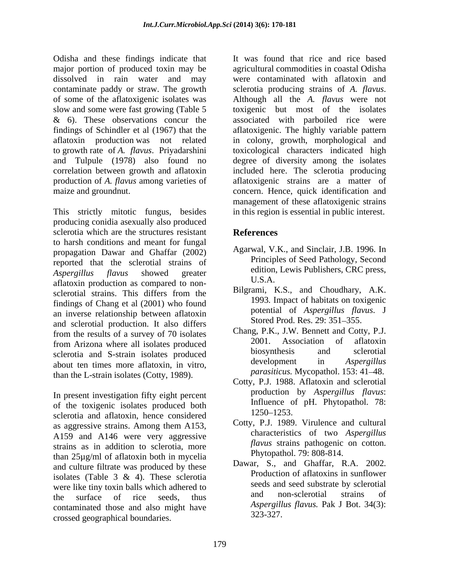Odisha and these findings indicate that major portion of produced toxin may be dissolved in rain water and may were contaminated with aflatoxin and contaminate paddy or straw. The growth sclerotia producing strains of A. flavus. of some of the aflatoxigenic isolates was Although all the A. *flavus* were not slow and some were fast growing (Table 5 & 6). These observations concur the associated with parboiled rice were findings of Schindler et al (1967) that the aflatoxigenic. The highly variable pattern aflatoxin production was not related in colony, growth, morphological and to growth rate of *A. flavus*. Priyadarshini toxicological characters indicated high and Tulpule (1978) also found no degree of diversity among the isolates correlation between growth and aflatoxin included here. The sclerotia producing production of *A. flavus* among varieties of aflatoxigenic strains are a matter of

producing conidia asexually also produced sclerotia which are the structures resistant **References** to harsh conditions and meant for fungal propagation Dawar and Ghaffar (2002) reported that the sclerotial strains of *Aspergillus flavus* showed greater aflatoxin production as compared to non-<br>general experiments of the different from the Bilgrami, K.S., and Choudhary, A.K. sclerotial strains. This differs from the Bilgrami, K.S., and Choudnary, A.K.<br>findings of Chang at al. (2001) who found 1993. Impact of habitats on toxigenic findings of Chang et al (2001) who found an inverse relationship between aflatoxin and sclerotial production. It also differs  $\frac{\text{Stored} \cdot \text{Procd} \cdot \text{Rec}}{\text{Changed} \cdot \text{Rec}}$ . Then the results of a survey of 70 isolates  $\frac{\text{Changed}}{\text{Ranged}}$ . P.K., J.W. Bennett and Cotty, P.J. from the results of a survey of 70 isolates Chang, P.K., J.W. Bennett and Cotty, P.J.<br>
from Arizone where all isolates produced 2001. Association of aflatoxin from Arizona where all isolates produced<br>coloratio and S atrain isolates produced<br>biosynthesis and sclerotial sclerotia and S-strain isolates produced<br>about ten times more aflatoxin in vitro<br>development in Aspergillus about ten times more aflatoxin, in vitro, than the L-strain isolates (Cotty, 1989).

In present investigation fifty eight percent of the toxigenic isolates produced both liftluence of the toxigenic isolates produced both liftluence of  $1250-1253$ . sclerotia and aflatoxin, hence considered as aggressive strains. Among them A153, A159 and A146 were very aggressive strains as in addition to sclerotia, more than 25µg/ml of aflatoxin both in mycelia and culture filtrate was produced by these isolates (Table 3 & 4). These sclerotia were like tiny toxin balls which adhered to<br>the surface of the seeds thus and non-sclerotial strains of the surface of rice seeds, thus and non-scieroual strains of  $\frac{1}{2}$ contaminated those and also might have crossed geographical boundaries.

maize and groundnut.<br>
This strictly mitotic fungus, besides<br>
This strictly mitotic fungus, besides<br>
This sessential in public interest. It was found that rice and rice based agricultural commodities in coastal Odisha sclerotia producing strains of *A. flavus*. Although all the *A. flavus* were not toxigenic but most of the isolates concern. Hence, quick identification and management of these aflatoxigenic strains in this region is essential in public interest.

### **References**

- Agarwal, V.K., and Sinclair, J.B. 1996. In Principles of Seed Pathology, Second edition, Lewis Publishers, CRC press, U.S.A.
- Bilgrami, K.S., and Choudhary, A.K. 1993. Impact of habitats on toxigenic potential of *Aspergillus flavus*. J Stored Prod. Res. 29: 351-355.
- Chang, P.K., J.W. Bennett and Cotty, P.J. 2001. Association of aflatoxin biosynthesis and sclerotial development in *Aspergillus parasiticus.* Mycopathol. 153: 41–48.
- Cotty, P.J. 1988. Aflatoxin and sclerotial production by *Aspergillus flavus*: Influence of pH. Phytopathol. 78: 1250–1253.
- Cotty, P.J. 1989. Virulence and cultural characteristics of two *Aspergillus flavus* strains pathogenic on cotton. Phytopathol. 79: 808-814.
- Dawar, S., and Ghaffar, R.A. 2002. Production of aflatoxins in sunflower seeds and seed substrate by sclerotial and non-sclerotial strains of *Aspergillus flavus.* Pak J Bot. 34(3): 323-327.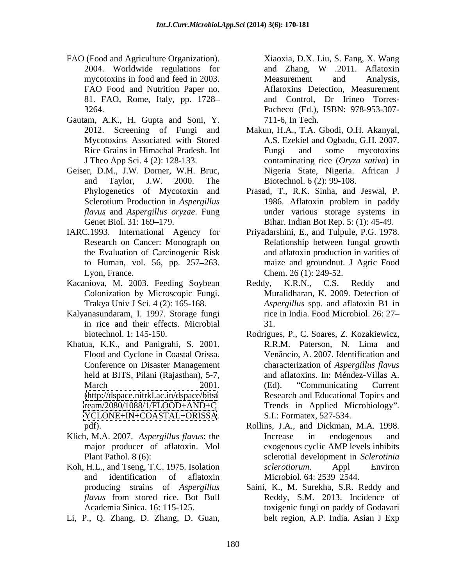- FAO (Food and Agriculture Organization). Xiaoxia, D.X. Liu, S. Fang, X. Wang 2004. Worldwide regulations for and Zhang, W .2011. Aflatoxin mycotoxins in food and feed in 2003. FAO Food and Nutrition Paper no. 81. FAO, Rome, Italy, pp. 1728
- Gautam, A.K., H. Gupta and Soni, Y. 711-6, In Tech.<br>2012. Screening of Fungi and Makun, H.A., T.A. Gbodi, O.H. Akanyal,
- Geiser, D.M., J.W. Dorner, W.H. Bruc,
- Lyon, France. Chem. 26 (1): 249-52.
- Kacaniova, M. 2003. Feeding Soybean Reddy, K.R.N., C.S. Reddy and
- Kalyanasundaram, I. 1997. Storage fungi in rice and their effects. Microbial
- Khatua, K.K., and Panigrahi, S. 2001. Conference on Disaster Management held at BITS, Pilani (Rajasthan), 5-7, <YCLONE+IN+COASTAL+ORISSA>.
- Klich, M.A. 2007. *Aspergillus flavus*: the
- Koh, H.L., and Tseng, T.C. 1975. Isolation *sclerotiorum*. Appl Environ
- 

3264. Pacheco (Ed.), ISBN: 978-953-307 and Zhang, W .2011. Aflatoxin Measurement and Analysis, Aflatoxins Detection, Measurement and Control, Dr Irineo Torres- 711-6, In Tech.

- Mycotoxins Associated with Stored A.S. Ezekiel and Ogbadu, G.H. 2007. Rice Grains in Himachal Pradesh. Int Fungi and some mycotoxins J Theo App Sci. 4 (2): 128-133. contaminating rice (*Oryza sativa*) in and Taylor, J.W. 2000. The Makun, H.A., T.A. Gbodi, O.H. Akanyal, Fungi and some mycotoxins Nigeria State, Nigeria. African J Biotechnol. 6 (2): 99-108.
- Phylogenetics of Mycotoxin and Prasad, T., R.K. Sinha, and Jeswal, P. Sclerotium Production in *Aspergillus* 1986. Aflatoxin problem in paddy *flavus* and *Aspergillus oryzae*. Fung under various storage systems in Genet Biol. 31: 169–179. Bihar. Indian Bot Rep. 5: (1): 45-49. Prasad, T., R.K. Sinha, and Jeswal, P. 1986. Aflatoxin problem in paddy
- IARC.1993. International Agency for Priyadarshini, E., and Tulpule, P.G. 1978. Research on Cancer: Monograph on Relationship between fungal growth the Evaluation of Carcinogenic Risk and aflatoxin production in varities of to Human, vol. 56, pp. 257 263. maize and groundnut. J Agric Food Chem. 26 (1): 249-52.
	- Colonization by Microscopic Fungi. Muralidharan, K. 2009. Detection of Trakya Univ J Sci. 4 (2): 165-168. *Aspergillus* spp. and aflatoxin B1 in Reddy, K.R.N., C.S. Reddy and rice in India. Food Microbiol. 26: 27 31.
- biotechnol. 1: 145-150. Rodrigues, P., C. Soares, Z. Kozakiewicz, Flood and Cyclone in Coastal Orissa. Venâncio, A. 2007. Identification and March 2001. (Ed). "Communicating Current [\(http://dspace.nitrkl.ac.in/dspace/bitst](http://dspace.nitrkl.ac.in/dspace/bitst) Research and Educational Topics and <ream/2080/1088/1/FLOOD+AND+C> Trends in Applied Microbiology". FAO (Frood and Agriculture Organization) Fancisco, Kang, N. Wang, N. Wang, N. Wang, N. Wang, N. Zhang, N. Zhang, N. Zhang, N. Zhang, N. Zhang, N. Zhang, N. Zhang, N. Zhang, N. Zhang, N. Zhang, D. Zhang, D. Zhang, D. Zhang R.R.M. Paterson, N. Lima and characterization of *Aspergillus flavus* and aflatoxins. In: Méndez-Villas A. (Ed). "Communicating Current S.I.: Formatex, 527-534.
	- pdf). Rollins, J.A., and Dickman, M.A. 1998. major producer of aflatoxin. Mol exogenous cyclic AMP levels inhibits Plant Pathol. 8 (6): sclerotial development in *Sclerotinia*  and identification of aflatoxin Microbiol. 64: 2539–2544. Increase in endogenous and *sclerotiorum*. Appl Environ Microbiol. 64: 2539–2544.
	- producing strains of *Aspergillus*  Saini, K., M. Surekha, S.R. Reddy and *flavus* from stored rice. Bot Bull Academia Sinica. 16: 115-125. toxigenic fungi on paddy of Godavari Reddy, S.M. 2013. Incidence of belt region, A.P. India. Asian J Exp